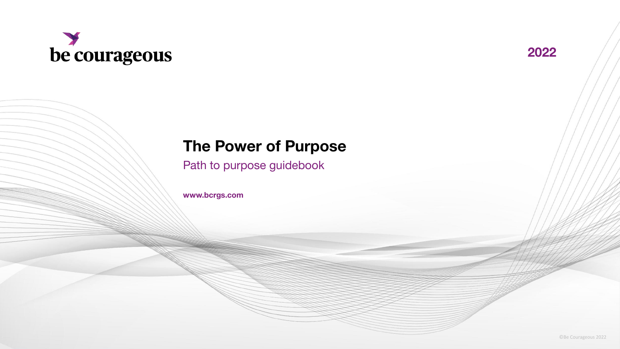



## **The Power of Purpose**

Path to purpose guidebook

**www.bcrgs.com**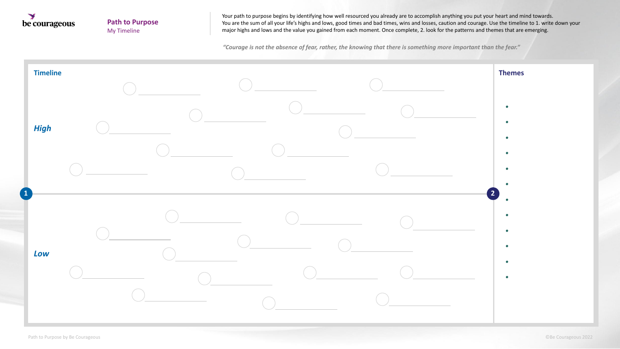

## **Path to Purpose** My Timeline

Your path to purpose begins by identifying how well resourced you already are to accomplish anything you put your heart and mind towards. You are the sum of all your life's highs and lows, good times and bad times, wins and losses, caution and courage. Use the timeline to 1. write down your major highs and lows and the value you gained from each moment. Once complete, 2. look for the patterns and themes that are emerging.

*"Courage is not the absence of fear, rather, the knowing that there is something more important than the fear."*